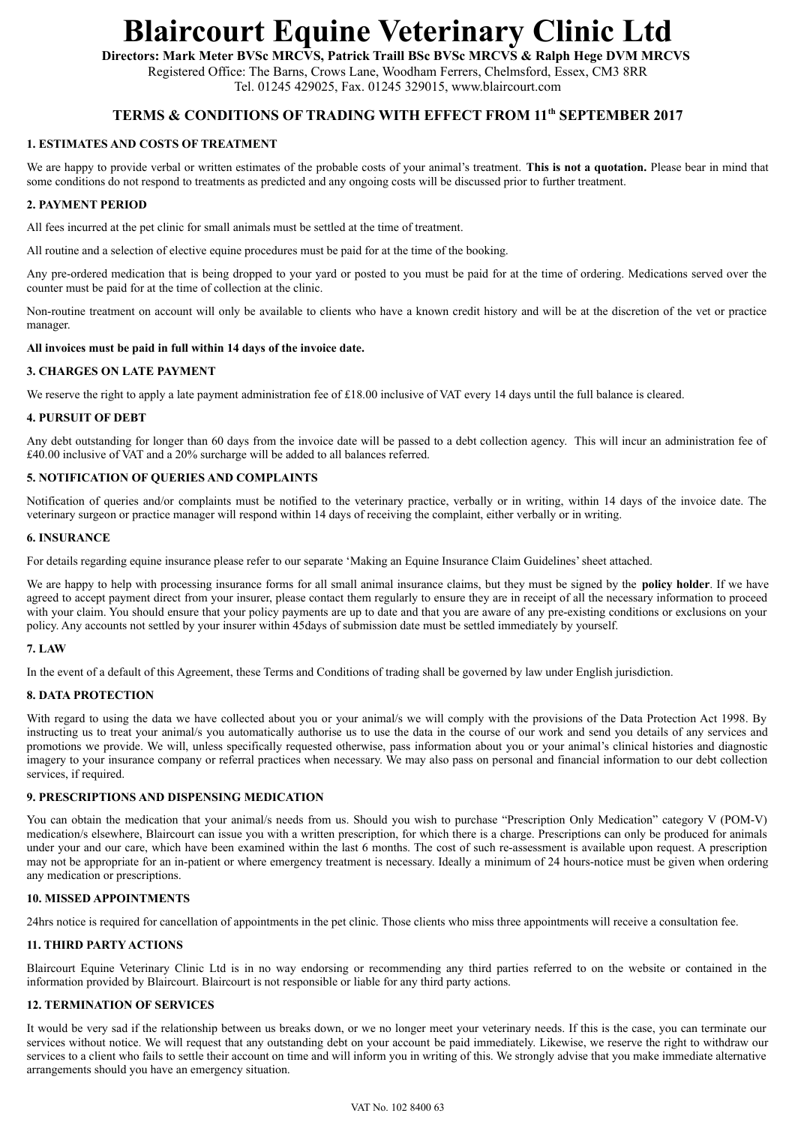# **Blaircourt Equine Veterinary Clinic Ltd**

**Directors: Mark Meter BVSc MRCVS, Patrick Traill BSc BVSc MRCVS & Ralph Hege DVM MRCVS**  Registered Office: The Barns, Crows Lane, Woodham Ferrers, Chelmsford, Essex, CM3 8RR Tel. 01245 429025, Fax. 01245 329015, www.blaircourt.com

## **TERMS & CONDITIONS OF TRADING WITH EFFECT FROM 11th SEPTEMBER 2017**

#### **1. ESTIMATES AND COSTS OF TREATMENT**

We are happy to provide verbal or written estimates of the probable costs of your animal's treatment. **This is not a quotation.** Please bear in mind that some conditions do not respond to treatments as predicted and any ongoing costs will be discussed prior to further treatment.

#### **2. PAYMENT PERIOD**

All fees incurred at the pet clinic for small animals must be settled at the time of treatment.

All routine and a selection of elective equine procedures must be paid for at the time of the booking.

Any pre-ordered medication that is being dropped to your yard or posted to you must be paid for at the time of ordering. Medications served over the counter must be paid for at the time of collection at the clinic.

Non-routine treatment on account will only be available to clients who have a known credit history and will be at the discretion of the vet or practice manager.

#### **All invoices must be paid in full within 14 days of the invoice date.**

#### **3. CHARGES ON LATE PAYMENT**

We reserve the right to apply a late payment administration fee of £18.00 inclusive of VAT every 14 days until the full balance is cleared.

#### **4. PURSUIT OF DEBT**

Any debt outstanding for longer than 60 days from the invoice date will be passed to a debt collection agency. This will incur an administration fee of £40.00 inclusive of VAT and a 20% surcharge will be added to all balances referred.

#### **5. NOTIFICATION OF QUERIES AND COMPLAINTS**

Notification of queries and/or complaints must be notified to the veterinary practice, verbally or in writing, within 14 days of the invoice date. The veterinary surgeon or practice manager will respond within 14 days of receiving the complaint, either verbally or in writing.

#### **6. INSURANCE**

For details regarding equine insurance please refer to our separate 'Making an Equine Insurance Claim Guidelines' sheet attached.

We are happy to help with processing insurance forms for all small animal insurance claims, but they must be signed by the **policy holder**. If we have agreed to accept payment direct from your insurer, please contact them regularly to ensure they are in receipt of all the necessary information to proceed with your claim. You should ensure that your policy payments are up to date and that you are aware of any pre-existing conditions or exclusions on your policy. Any accounts not settled by your insurer within 45days of submission date must be settled immediately by yourself.

#### **7. LAW**

In the event of a default of this Agreement, these Terms and Conditions of trading shall be governed by law under English jurisdiction.

#### **8. DATA PROTECTION**

With regard to using the data we have collected about you or your animal/s we will comply with the provisions of the Data Protection Act 1998. By instructing us to treat your animal/s you automatically authorise us to use the data in the course of our work and send you details of any services and promotions we provide. We will, unless specifically requested otherwise, pass information about you or your animal's clinical histories and diagnostic imagery to your insurance company or referral practices when necessary. We may also pass on personal and financial information to our debt collection services, if required.

#### **9. PRESCRIPTIONS AND DISPENSING MEDICATION**

You can obtain the medication that your animal/s needs from us. Should you wish to purchase "Prescription Only Medication" category V (POM-V) medication/s elsewhere, Blaircourt can issue you with a written prescription, for which there is a charge. Prescriptions can only be produced for animals under your and our care, which have been examined within the last 6 months. The cost of such re-assessment is available upon request. A prescription may not be appropriate for an in-patient or where emergency treatment is necessary. Ideally a minimum of 24 hours-notice must be given when ordering any medication or prescriptions.

#### **10. MISSED APPOINTMENTS**

24hrs notice is required for cancellation of appointments in the pet clinic. Those clients who miss three appointments will receive a consultation fee.

#### **11. THIRD PARTY ACTIONS**

Blaircourt Equine Veterinary Clinic Ltd is in no way endorsing or recommending any third parties referred to on the website or contained in the information provided by Blaircourt. Blaircourt is not responsible or liable for any third party actions.

#### **12. TERMINATION OF SERVICES**

It would be very sad if the relationship between us breaks down, or we no longer meet your veterinary needs. If this is the case, you can terminate our services without notice. We will request that any outstanding debt on your account be paid immediately. Likewise, we reserve the right to withdraw our services to a client who fails to settle their account on time and will inform you in writing of this. We strongly advise that you make immediate alternative arrangements should you have an emergency situation.